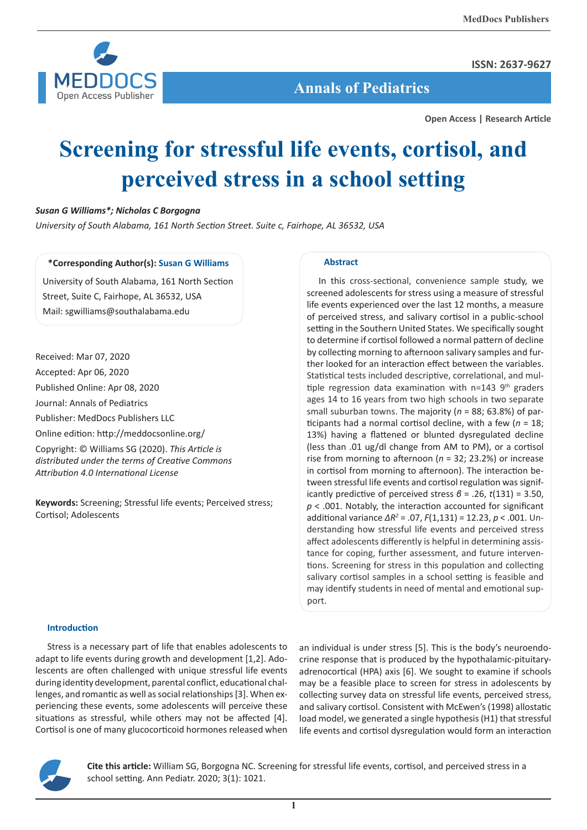

**ISSN: 2637-9627**

 **Annals of Pediatrics**

**Open Access | Research Article**

# **Screening for stressful life events, cortisol, and perceived stress in a school setting**

# *Susan G Williams\*; Nicholas C Borgogna*

*University of South Alabama, 161 North Section Street. Suite c, Fairhope, AL 36532, USA*

# **\*Corresponding Author(s): Susan G Williams**

University of South Alabama, 161 North Section Street, Suite C, Fairhope, AL 36532, USA Mail: sgwilliams@southalabama.edu

Received: Mar 07, 2020

Accepted: Apr 06, 2020

Published Online: Apr 08, 2020

Journal: Annals of Pediatrics

Publisher: MedDocs Publishers LLC

Online edition: http://meddocsonline.org/

Copyright: © Williams SG (2020). *This Article is distributed under the terms of Creative Commons Attribution 4.0 International License*

**Keywords:** Screening; Stressful life events; Perceived stress; Cortisol; Adolescents

# **Abstract**

In this cross-sectional, convenience sample study, we screened adolescents for stress using a measure of stressful life events experienced over the last 12 months, a measure of perceived stress, and salivary cortisol in a public-school setting in the Southern United States. We specifically sought to determine if cortisol followed a normal pattern of decline by collecting morning to afternoon salivary samples and further looked for an interaction effect between the variables. Statistical tests included descriptive, correlational, and multiple regression data examination with  $n=143$  9<sup>th</sup> graders ages 14 to 16 years from two high schools in two separate small suburban towns. The majority (*n* = 88; 63.8%) of participants had a normal cortisol decline, with a few (*n* = 18; 13%) having a flattened or blunted dysregulated decline (less than .01 ug/dl change from AM to PM), or a cortisol rise from morning to afternoon (*n* = 32; 23.2%) or increase in cortisol from morning to afternoon). The interaction between stressful life events and cortisol regulation was significantly predictive of perceived stress *β* = .26, *t*(131) = 3.50, *p* < .001. Notably, the interaction accounted for significant additional variance *ΔR2* = .07, *F*(1,131) = 12.23, *p* < .001. Understanding how stressful life events and perceived stress affect adolescents differently is helpful in determining assistance for coping, further assessment, and future interventions. Screening for stress in this population and collecting salivary cortisol samples in a school setting is feasible and may identify students in need of mental and emotional support.

# **Introduction**

Stress is a necessary part of life that enables adolescents to adapt to life events during growth and development [1,2]. Adolescents are often challenged with unique stressful life events during identity development, parental conflict, educational challenges, and romantic as well as social relationships [3]. When experiencing these events, some adolescents will perceive these situations as stressful, while others may not be affected [4]. Cortisol is one of many glucocorticoid hormones released when an individual is under stress [5]. This is the body's neuroendocrine response that is produced by the hypothalamic-pituitaryadrenocortical (HPA) axis [6]. We sought to examine if schools may be a feasible place to screen for stress in adolescents by collecting survey data on stressful life events, perceived stress, and salivary cortisol. Consistent with McEwen's (1998) allostatic load model, we generated a single hypothesis (H1) that stressful life events and cortisol dysregulation would form an interaction



**Cite this article:** William SG, Borgogna NC. Screening for stressful life events, cortisol, and perceived stress in a school setting. Ann Pediatr. 2020; 3(1): 1021.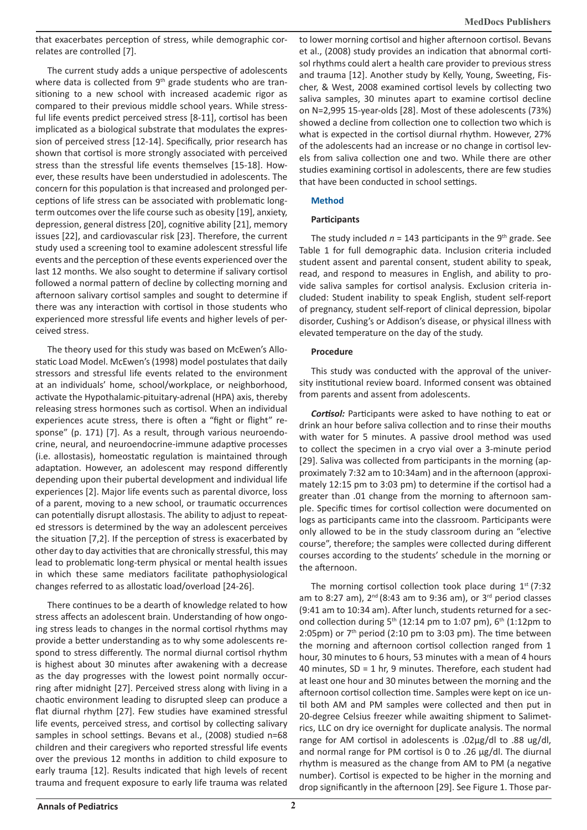that exacerbates perception of stress, while demographic correlates are controlled [7].

The current study adds a unique perspective of adolescents where data is collected from 9<sup>th</sup> grade students who are transitioning to a new school with increased academic rigor as compared to their previous middle school years. While stressful life events predict perceived stress [8-11], cortisol has been implicated as a biological substrate that modulates the expression of perceived stress [12-14]. Specifically, prior research has shown that cortisol is more strongly associated with perceived stress than the stressful life events themselves [15-18]. However, these results have been understudied in adolescents. The concern for this population is that increased and prolonged perceptions of life stress can be associated with problematic longterm outcomes over the life course such as obesity [19], anxiety, depression, general distress [20], cognitive ability [21], memory issues [22], and cardiovascular risk [23]. Therefore, the current study used a screening tool to examine adolescent stressful life events and the perception of these events experienced over the last 12 months. We also sought to determine if salivary cortisol followed a normal pattern of decline by collecting morning and afternoon salivary cortisol samples and sought to determine if there was any interaction with cortisol in those students who experienced more stressful life events and higher levels of perceived stress.

The theory used for this study was based on McEwen's Allostatic Load Model. McEwen's (1998) model postulates that daily stressors and stressful life events related to the environment at an individuals' home, school/workplace, or neighborhood, activate the Hypothalamic-pituitary-adrenal (HPA) axis, thereby releasing stress hormones such as cortisol. When an individual experiences acute stress, there is often a "fight or flight" response" (p. 171) [7]. As a result, through various neuroendocrine, neural, and neuroendocrine-immune adaptive processes (i.e. allostasis), homeostatic regulation is maintained through adaptation. However, an adolescent may respond differently depending upon their pubertal development and individual life experiences [2]. Major life events such as parental divorce, loss of a parent, moving to a new school, or traumatic occurrences can potentially disrupt allostasis. The ability to adjust to repeated stressors is determined by the way an adolescent perceives the situation [7,2]. If the perception of stress is exacerbated by other day to day activities that are chronically stressful, this may lead to problematic long-term physical or mental health issues in which these same mediators facilitate pathophysiological changes referred to as allostatic load/overload [24-26].

There continues to be a dearth of knowledge related to how stress affects an adolescent brain. Understanding of how ongoing stress leads to changes in the normal cortisol rhythms may provide a better understanding as to why some adolescents respond to stress differently. The normal diurnal cortisol rhythm is highest about 30 minutes after awakening with a decrease as the day progresses with the lowest point normally occurring after midnight [27]. Perceived stress along with living in a chaotic environment leading to disrupted sleep can produce a flat diurnal rhythm [27]. Few studies have examined stressful life events, perceived stress, and cortisol by collecting salivary samples in school settings. Bevans et al., (2008) studied n=68 children and their caregivers who reported stressful life events over the previous 12 months in addition to child exposure to early trauma [12]. Results indicated that high levels of recent trauma and frequent exposure to early life trauma was related

to lower morning cortisol and higher afternoon cortisol. Bevans et al., (2008) study provides an indication that abnormal cortisol rhythms could alert a health care provider to previous stress and trauma [12]. Another study by Kelly, Young, Sweeting, Fischer, & West, 2008 examined cortisol levels by collecting two saliva samples, 30 minutes apart to examine cortisol decline on N=2,995 15-year-olds [28]. Most of these adolescents (73%) showed a decline from collection one to collection two which is what is expected in the cortisol diurnal rhythm. However, 27% of the adolescents had an increase or no change in cortisol levels from saliva collection one and two. While there are other studies examining cortisol in adolescents, there are few studies that have been conducted in school settings.

# **Method**

# **Participants**

The study included  $n = 143$  participants in the 9<sup>th</sup> grade. See Table 1 for full demographic data. Inclusion criteria included student assent and parental consent, student ability to speak, read, and respond to measures in English, and ability to provide saliva samples for cortisol analysis. Exclusion criteria included: Student inability to speak English, student self-report of pregnancy, student self-report of clinical depression, bipolar disorder, Cushing's or Addison's disease, or physical illness with elevated temperature on the day of the study.

# **Procedure**

This study was conducted with the approval of the university institutional review board. Informed consent was obtained from parents and assent from adolescents.

*Cortisol:* Participants were asked to have nothing to eat or drink an hour before saliva collection and to rinse their mouths with water for 5 minutes. A passive drool method was used to collect the specimen in a cryo vial over a 3-minute period [29]. Saliva was collected from participants in the morning (approximately 7:32 am to 10:34am) and in the afternoon (approximately 12:15 pm to 3:03 pm) to determine if the cortisol had a greater than .01 change from the morning to afternoon sample. Specific times for cortisol collection were documented on logs as participants came into the classroom. Participants were only allowed to be in the study classroom during an "elective course", therefore; the samples were collected during different courses according to the students' schedule in the morning or the afternoon.

The morning cortisol collection took place during  $1<sup>st</sup>$  (7:32 am to 8:27 am),  $2^{nd}$  (8:43 am to 9:36 am), or  $3^{rd}$  period classes (9:41 am to 10:34 am). After lunch, students returned for a second collection during  $5<sup>th</sup>$  (12:14 pm to 1:07 pm),  $6<sup>th</sup>$  (1:12pm to 2:05pm) or  $7<sup>th</sup>$  period (2:10 pm to 3:03 pm). The time between the morning and afternoon cortisol collection ranged from 1 hour, 30 minutes to 6 hours, 53 minutes with a mean of 4 hours 40 minutes, SD = 1 hr, 9 minutes. Therefore, each student had at least one hour and 30 minutes between the morning and the afternoon cortisol collection time. Samples were kept on ice until both AM and PM samples were collected and then put in 20-degree Celsius freezer while awaiting shipment to Salimetrics, LLC on dry ice overnight for duplicate analysis. The normal range for AM cortisol in adolescents is .02µg/dl to .88 ug/dl, and normal range for PM cortisol is 0 to .26 µg/dl. The diurnal rhythm is measured as the change from AM to PM (a negative number). Cortisol is expected to be higher in the morning and drop significantly in the afternoon [29]. See Figure 1. Those par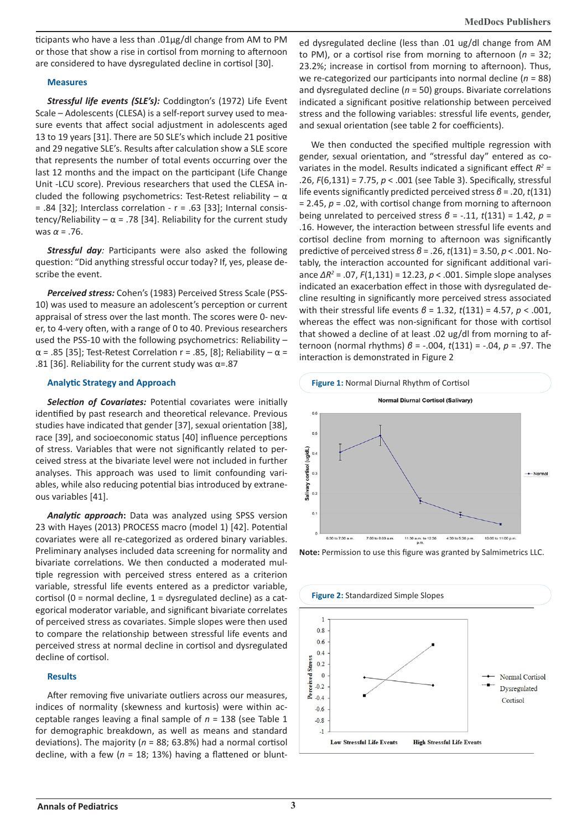ticipants who have a less than .01µg/dl change from AM to PM or those that show a rise in cortisol from morning to afternoon are considered to have dysregulated decline in cortisol [30].

### **Measures**

*Stressful life events (SLE's):* Coddington's (1972) Life Event Scale – Adolescents (CLESA) is a self-report survey used to measure events that affect social adjustment in adolescents aged 13 to 19 years [31]. There are 50 SLE's which include 21 positive and 29 negative SLE's. Results after calculation show a SLE score that represents the number of total events occurring over the last 12 months and the impact on the participant (Life Change Unit -LCU score). Previous researchers that used the CLESA included the following psychometrics: Test-Retest reliability  $-\alpha$  $= .84$  [32]; Interclass correlation -  $r = .63$  [33]; Internal consistency/Reliability –  $\alpha$  = .78 [34]. Reliability for the current study was *α* = .76.

*Stressful day:* Participants were also asked the following question: "Did anything stressful occur today? If, yes, please describe the event.

*Perceived stress:* Cohen's (1983) Perceived Stress Scale (PSS-10) was used to measure an adolescent's perception or current appraisal of stress over the last month. The scores were 0- never, to 4-very often, with a range of 0 to 40. Previous researchers used the PSS-10 with the following psychometrics: Reliability – α = .85 [35]; Test-Retest Correlation r = .85, [8]; Reliability – α = .81 [36]. Reliability for the current study was α=.87

#### **Analytic Strategy and Approach**

*Selection of Covariates:* Potential covariates were initially identified by past research and theoretical relevance. Previous studies have indicated that gender [37], sexual orientation [38], race [39], and socioeconomic status [40] influence perceptions of stress. Variables that were not significantly related to perceived stress at the bivariate level were not included in further analyses. This approach was used to limit confounding variables, while also reducing potential bias introduced by extraneous variables [41].

*Analytic approach***:** Data was analyzed using SPSS version 23 with Hayes (2013) PROCESS macro (model 1) [42]. Potential covariates were all re-categorized as ordered binary variables. Preliminary analyses included data screening for normality and bivariate correlations. We then conducted a moderated multiple regression with perceived stress entered as a criterion variable, stressful life events entered as a predictor variable, cortisol (0 = normal decline,  $1 =$  dysregulated decline) as a categorical moderator variable, and significant bivariate correlates of perceived stress as covariates. Simple slopes were then used to compare the relationship between stressful life events and perceived stress at normal decline in cortisol and dysregulated decline of cortisol.

# **Results**

After removing five univariate outliers across our measures, indices of normality (skewness and kurtosis) were within acceptable ranges leaving a final sample of *n* = 138 (see Table 1 for demographic breakdown, as well as means and standard deviations). The majority (*n* = 88; 63.8%) had a normal cortisol decline, with a few ( $n = 18$ ; 13%) having a flattened or blunted dysregulated decline (less than .01 ug/dl change from AM to PM), or a cortisol rise from morning to afternoon (*n* = 32; 23.2%; increase in cortisol from morning to afternoon). Thus, we re-categorized our participants into normal decline (*n* = 88) and dysregulated decline (*n* = 50) groups. Bivariate correlations indicated a significant positive relationship between perceived stress and the following variables: stressful life events, gender, and sexual orientation (see table 2 for coefficients).

We then conducted the specified multiple regression with gender, sexual orientation, and "stressful day" entered as covariates in the model. Results indicated a significant effect  $R^2 =$ .26, *F*(6,131) = 7.75, *p* < .001 (see Table 3). Specifically, stressful life events significantly predicted perceived stress *β* = .20, *t*(131) = 2.45, *p* = .02, with cortisol change from morning to afternoon being unrelated to perceived stress  $β = -.11, t(131) = 1.42, p =$ .16. However, the interaction between stressful life events and cortisol decline from morning to afternoon was significantly predictive of perceived stress *β* = .26, *t*(131) = 3.50, *p* < .001. Notably, the interaction accounted for significant additional variance *ΔR2* = .07, *F*(1,131) = 12.23, *p* < .001. Simple slope analyses indicated an exacerbation effect in those with dysregulated decline resulting in significantly more perceived stress associated with their stressful life events *β* = 1.32, *t*(131) = 4.57, *p* < .001, whereas the effect was non-significant for those with cortisol that showed a decline of at least .02 ug/dl from morning to afternoon (normal rhythms) *β* = -.004, *t*(131) = -.04, *p* = .97. The interaction is demonstrated in Figure 2



**Note:** Permission to use this figure was granted by Salmimetrics LLC.

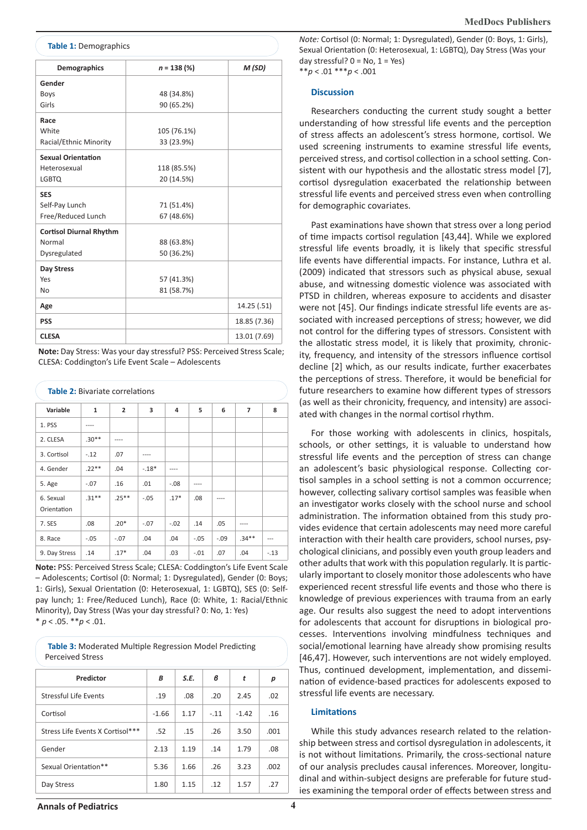#### **MedDocs Publishers**

**Table 1:** Demographics

| Demographics                   | $n = 138 (%)$ | M (SD)       |
|--------------------------------|---------------|--------------|
| Gender                         |               |              |
| <b>Boys</b>                    | 48 (34.8%)    |              |
| Girls                          | 90 (65.2%)    |              |
| Race                           |               |              |
| White                          | 105 (76.1%)   |              |
| Racial/Ethnic Minority         | 33 (23.9%)    |              |
| <b>Sexual Orientation</b>      |               |              |
| Heterosexual                   | 118 (85.5%)   |              |
| <b>LGBTQ</b>                   | 20 (14.5%)    |              |
| <b>SES</b>                     |               |              |
| Self-Pay Lunch                 | 71 (51.4%)    |              |
| Free/Reduced Lunch             | 67 (48.6%)    |              |
| <b>Cortisol Diurnal Rhythm</b> |               |              |
| Normal                         | 88 (63.8%)    |              |
| Dysregulated                   | 50 (36.2%)    |              |
| Day Stress                     |               |              |
| Yes                            | 57 (41.3%)    |              |
| N <sub>0</sub>                 | 81 (58.7%)    |              |
| Age                            |               | 14.25 (.51)  |
| <b>PSS</b>                     |               | 18.85 (7.36) |
| <b>CLESA</b>                   |               | 13.01 (7.69) |

**Note:** Day Stress: Was your day stressful? PSS: Perceived Stress Scale; CLESA: Coddington's Life Event Scale – Adolescents

| <b>Table 2: Bivariate correlations</b> |              |                |         |        |        |        |         |        |  |
|----------------------------------------|--------------|----------------|---------|--------|--------|--------|---------|--------|--|
| Variable                               | $\mathbf{1}$ | $\overline{2}$ | 3       | 4      | 5      | 6      | 7       | 8      |  |
| 1. PSS                                 |              |                |         |        |        |        |         |        |  |
| 2. CLESA                               | $.30**$      |                |         |        |        |        |         |        |  |
| 3. Cortisol                            | $-.12$       | .07            |         |        |        |        |         |        |  |
| 4. Gender                              | $.22**$      | .04            | $-.18*$ |        |        |        |         |        |  |
| 5. Age                                 | $-.07$       | .16            | .01     | $-.08$ | $---$  |        |         |        |  |
| 6. Sexual<br>Orientation               | $.31**$      | $.25**$        | $-.05$  | $.17*$ | .08    |        |         |        |  |
| 7. SES                                 | .08          | $.20*$         | $-.07$  | $-.02$ | .14    | .05    |         |        |  |
| 8. Race                                | $-.05$       | $-.07$         | .04     | .04    | $-.05$ | $-.09$ | $.34**$ | ---    |  |
| 9. Day Stress                          | .14          | $.17*$         | .04     | .03    | $-.01$ | .07    | .04     | $-.13$ |  |

**Note:** PSS: Perceived Stress Scale; CLESA: Coddington's Life Event Scale – Adolescents; Cortisol (0: Normal; 1: Dysregulated), Gender (0: Boys; 1: Girls), Sexual Orientation (0: Heterosexual, 1: LGBTQ), SES (0: Selfpay lunch; 1: Free/Reduced Lunch), Race (0: White, 1: Racial/Ethnic Minority), Day Stress (Was your day stressful? 0: No, 1: Yes) \* *p* < .05. \*\**p* < .01.

**Table 3:** Moderated Multiple Regression Model Predicting Perceived Stress

| Predictor                        | В       | S.E. | в      | t       | р    |
|----------------------------------|---------|------|--------|---------|------|
| Stressful Life Events            | .19     | .08  | .20    | 2.45    | .02  |
| Cortisol                         | $-1.66$ | 1.17 | $-.11$ | $-1.42$ | .16  |
| Stress Life Events X Cortisol*** | .52     | .15  | .26    | 3.50    | .001 |
| Gender                           | 2.13    | 1.19 | .14    | 1.79    | .08  |
| Sexual Orientation**             | 5.36    | 1.66 | .26    | 3.23    | .002 |
| Day Stress                       | 1.80    | 1.15 | .12    | 1.57    | .27  |

*Note:* Cortisol (0: Normal; 1: Dysregulated), Gender (0: Boys, 1: Girls), Sexual Orientation (0: Heterosexual, 1: LGBTQ), Day Stress (Was your day stressful?  $0 = No$ ,  $1 = Yes$ )

# \*\**p* < .01 \*\*\**p* < .001

#### **Discussion**

Researchers conducting the current study sought a better understanding of how stressful life events and the perception of stress affects an adolescent's stress hormone, cortisol. We used screening instruments to examine stressful life events, perceived stress, and cortisol collection in a school setting. Consistent with our hypothesis and the allostatic stress model [7], cortisol dysregulation exacerbated the relationship between stressful life events and perceived stress even when controlling for demographic covariates.

Past examinations have shown that stress over a long period of time impacts cortisol regulation [43,44]. While we explored stressful life events broadly, it is likely that specific stressful life events have differential impacts. For instance, Luthra et al. (2009) indicated that stressors such as physical abuse, sexual abuse, and witnessing domestic violence was associated with PTSD in children, whereas exposure to accidents and disaster were not [45]. Our findings indicate stressful life events are associated with increased perceptions of stress; however, we did not control for the differing types of stressors. Consistent with the allostatic stress model, it is likely that proximity, chronicity, frequency, and intensity of the stressors influence cortisol decline [2] which, as our results indicate, further exacerbates the perceptions of stress. Therefore, it would be beneficial for future researchers to examine how different types of stressors (as well as their chronicity, frequency, and intensity) are associated with changes in the normal cortisol rhythm.

For those working with adolescents in clinics, hospitals, schools, or other settings, it is valuable to understand how stressful life events and the perception of stress can change an adolescent's basic physiological response. Collecting cortisol samples in a school setting is not a common occurrence; however, collecting salivary cortisol samples was feasible when an investigator works closely with the school nurse and school administration. The information obtained from this study provides evidence that certain adolescents may need more careful interaction with their health care providers, school nurses, psychological clinicians, and possibly even youth group leaders and other adults that work with this population regularly. It is particularly important to closely monitor those adolescents who have experienced recent stressful life events and those who there is knowledge of previous experiences with trauma from an early age. Our results also suggest the need to adopt interventions for adolescents that account for disruptions in biological processes. Interventions involving mindfulness techniques and social/emotional learning have already show promising results [46,47]. However, such interventions are not widely employed. Thus, continued development, implementation, and dissemination of evidence-based practices for adolescents exposed to stressful life events are necessary.

#### **Limitations**

While this study advances research related to the relationship between stress and cortisol dysregulation in adolescents, it is not without limitations. Primarily, the cross-sectional nature of our analysis precludes causal inferences. Moreover, longitudinal and within-subject designs are preferable for future studies examining the temporal order of effects between stress and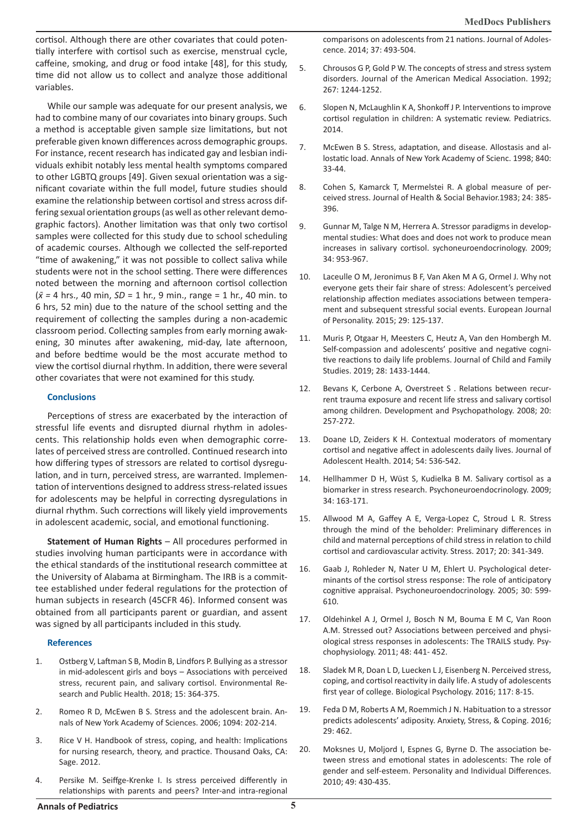cortisol. Although there are other covariates that could potentially interfere with cortisol such as exercise, menstrual cycle, caffeine, smoking, and drug or food intake [48], for this study, time did not allow us to collect and analyze those additional variables.

While our sample was adequate for our present analysis, we had to combine many of our covariates into binary groups. Such a method is acceptable given sample size limitations, but not preferable given known differences across demographic groups. For instance, recent research has indicated gay and lesbian individuals exhibit notably less mental health symptoms compared to other LGBTQ groups [49]. Given sexual orientation was a significant covariate within the full model, future studies should examine the relationship between cortisol and stress across differing sexual orientation groups (as well as other relevant demographic factors). Another limitation was that only two cortisol samples were collected for this study due to school scheduling of academic courses. Although we collected the self-reported "time of awakening," it was not possible to collect saliva while students were not in the school setting. There were differences noted between the morning and afternoon cortisol collection (*x = ̄* 4 hrs., 40 min, *SD* = 1 hr., 9 min., range = 1 hr., 40 min. to 6 hrs, 52 min) due to the nature of the school setting and the requirement of collecting the samples during a non-academic classroom period. Collecting samples from early morning awakening, 30 minutes after awakening, mid-day, late afternoon, and before bedtime would be the most accurate method to view the cortisol diurnal rhythm. In addition, there were several other covariates that were not examined for this study.

# **Conclusions**

Perceptions of stress are exacerbated by the interaction of stressful life events and disrupted diurnal rhythm in adolescents. This relationship holds even when demographic correlates of perceived stress are controlled. Continued research into how differing types of stressors are related to cortisol dysregulation, and in turn, perceived stress, are warranted. Implementation of interventions designed to address stress-related issues for adolescents may be helpful in correcting dysregulations in diurnal rhythm. Such corrections will likely yield improvements in adolescent academic, social, and emotional functioning.

**Statement of Human Rights** – All procedures performed in studies involving human participants were in accordance with the ethical standards of the institutional research committee at the University of Alabama at Birmingham. The IRB is a committee established under federal regulations for the protection of human subjects in research (45CFR 46). Informed consent was obtained from all participants parent or guardian, and assent was signed by all participants included in this study.

# **References**

- 1. Ostberg V, Laftman S B, Modin B, Lindfors P. Bullying as a stressor in mid-adolescent girls and boys – Associations with perceived stress, recurent pain, and salivary cortisol. Environmental Research and Public Health. 2018; 15: 364-375.
- 2. Romeo R D, McEwen B S. Stress and the adolescent brain. Annals of New York Academy of Sciences. 2006; 1094: 202-214.
- 3. Rice V H. Handbook of stress, coping, and health: Implications for nursing research, theory, and practice. Thousand Oaks, CA: Sage. 2012.
- 4. Persike M. Seiffge-Krenke I. Is stress perceived differently in relationships with parents and peers? Inter-and intra-regional

comparisons on adolescents from 21 nations. Journal of Adolescence. 2014; 37: 493-504.

- 5. Chrousos G P, Gold P W. The concepts of stress and stress system disorders. Journal of the American Medical Association. 1992; 267: 1244-1252.
- 6. Slopen N, McLaughlin K A, Shonkoff J P. Interventions to improve cortisol regulation in children: A systematic review. Pediatrics. 2014.
- 7. McEwen B S. Stress, adaptation, and disease. Allostasis and allostatic load. Annals of New York Academy of Scienc. 1998; 840: 33-44.
- 8. Cohen S, Kamarck T, Mermelstei R. A global measure of perceived stress. Journal of Health & Social Behavior.1983; 24: 385- 396.
- 9. Gunnar M, Talge N M, Herrera A. Stressor paradigms in developmental studies: What does and does not work to produce mean increases in salivary cortisol. sychoneuroendocrinology. 2009; 34: 953-967.
- 10. Laceulle O M, Jeronimus B F, Van Aken M A G, Ormel J. Why not everyone gets their fair share of stress: Adolescent's perceived relationship affection mediates associations between temperament and subsequent stressful social events. European Journal of Personality. 2015; 29: 125-137.
- 11. Muris P, Otgaar H, Meesters C, Heutz A, Van den Hombergh M. Self-compassion and adolescents' positive and negative cognitive reactions to daily life problems. Journal of Child and Family Studies. 2019; 28: 1433-1444.
- 12. Bevans K, Cerbone A, Overstreet S . Relations between recurrent trauma exposure and recent life stress and salivary cortisol among children. Development and Psychopathology. 2008; 20: 257-272.
- 13. Doane LD, Zeiders K H. Contextual moderators of momentary cortisol and negative affect in adolescents daily lives. Journal of Adolescent Health. 2014; 54: 536-542.
- 14. Hellhammer D H, Wüst S, Kudielka B M. Salivary cortisol as a biomarker in stress research. Psychoneuroendocrinology. 2009; 34: 163-171.
- 15. Allwood M A, Gaffey A E, Verga-Lopez C, Stroud L R. Stress through the mind of the beholder: Preliminary differences in child and maternal perceptions of child stress in relation to child cortisol and cardiovascular activity. Stress. 2017; 20: 341-349.
- 16. Gaab J, Rohleder N, Nater U M, Ehlert U. Psychological determinants of the cortisol stress response: The role of anticipatory cognitive appraisal. Psychoneuroendocrinology. 2005; 30: 599- 610.
- 17. Oldehinkel A J, Ormel J, Bosch N M, Bouma E M C, Van Roon A.M. Stressed out? Associations between perceived and physiological stress responses in adolescents: The TRAILS study. Psychophysiology. 2011; 48: 441- 452.
- 18. Sladek M R, Doan L D, Luecken L J, Eisenberg N. Perceived stress, coping, and cortisol reactivity in daily life. A study of adolescents first year of college. Biological Psychology. 2016; 117: 8-15.
- 19. Feda D M, Roberts A M, Roemmich J N. Habituation to a stressor predicts adolescents' adiposity. Anxiety, Stress, & Coping. 2016; 29: 462.
- 20. Moksnes U, Moljord I, Espnes G, Byrne D. The association between stress and emotional states in adolescents: The role of gender and self-esteem. Personality and Individual Differences. 2010; 49: 430-435.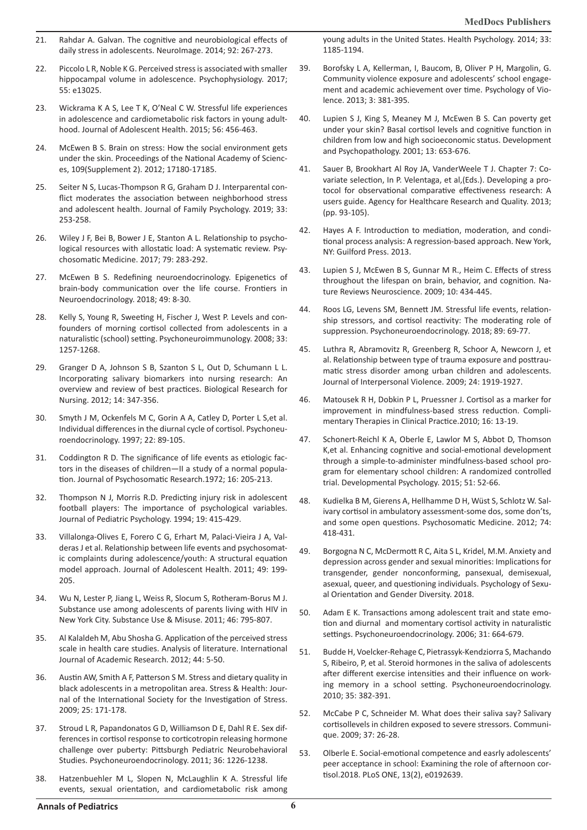- 21. Rahdar A. Galvan. The cognitive and neurobiological effects of daily stress in adolescents. NeuroImage. 2014; 92: 267-273.
- 22. Piccolo L R, Noble K G. Perceived stress is associated with smaller hippocampal volume in adolescence. Psychophysiology. 2017; 55: e13025.
- 23. Wickrama K A S, Lee T K, O'Neal C W. Stressful life experiences in adolescence and cardiometabolic risk factors in young adulthood. Journal of Adolescent Health. 2015; 56: 456-463.
- 24. McEwen B S. Brain on stress: How the social environment gets under the skin. Proceedings of the National Academy of Sciences, 109(Supplement 2). 2012; 17180-17185.
- 25. Seiter N S, Lucas-Thompson R G, Graham D J. Interparental conflict moderates the association between neighborhood stress and adolescent health. Journal of Family Psychology. 2019; 33: 253-258.
- 26. Wiley J F, Bei B, Bower J E, Stanton A L. Relationship to psychological resources with allostatic load: A systematic review. Psychosomatic Medicine. 2017; 79: 283-292.
- 27. McEwen B S. Redefining neuroendocrinology. Epigenetics of brain-body communication over the life course. Frontiers in Neuroendocrinology. 2018; 49: 8-30.
- 28. Kelly S, Young R, Sweeting H, Fischer J, West P. Levels and confounders of morning cortisol collected from adolescents in a naturalistic (school) setting. Psychoneuroimmunology. 2008; 33: 1257-1268.
- 29. Granger D A, Johnson S B, Szanton S L, Out D, Schumann L L. Incorporating salivary biomarkers into nursing research: An overview and review of best practices. Biological Research for Nursing. 2012; 14: 347-356.
- 30. Smyth J M, Ockenfels M C, Gorin A A, Catley D, Porter L S,et al. Individual differences in the diurnal cycle of cortisol. Psychoneuroendocrinology. 1997; 22: 89-105.
- 31. Coddington R D. The significance of life events as etiologic factors in the diseases of children—II a study of a normal population. Journal of Psychosomatic Research.1972; 16: 205-213.
- 32. Thompson N J, Morris R.D. Predicting injury risk in adolescent football players: The importance of psychological variables. Journal of Pediatric Psychology. 1994; 19: 415-429.
- 33. Villalonga-Olives E, Forero C G, Erhart M, Palaci-Vieira J A, Valderas J et al. Relationship between life events and psychosomatic complaints during adolescence/youth: A structural equation model approach. Journal of Adolescent Health. 2011; 49: 199- 205.
- 34. Wu N, Lester P, Jiang L, Weiss R, Slocum S, Rotheram-Borus M J. Substance use among adolescents of parents living with HIV in New York City. Substance Use & Misuse. 2011; 46: 795-807.
- 35. Al Kalaldeh M, Abu Shosha G. Application of the perceived stress scale in health care studies. Analysis of literature. International Journal of Academic Research. 2012; 44: 5-50.
- 36. Austin AW, Smith A F, Patterson S M. Stress and dietary quality in black adolescents in a metropolitan area. Stress & Health: Journal of the International Society for the Investigation of Stress. 2009; 25: 171-178.
- 37. Stroud L R, Papandonatos G D, Williamson D E, Dahl R E. Sex differences in cortisol response to corticotropin releasing hormone challenge over puberty: Pittsburgh Pediatric Neurobehavioral Studies. Psychoneuroendocrinology. 2011; 36: 1226-1238.
- 38. Hatzenbuehler M L, Slopen N, McLaughlin K A. Stressful life events, sexual orientation, and cardiometabolic risk among

young adults in the United States. Health Psychology. 2014; 33: 1185-1194.

- 39. Borofsky L A, Kellerman, I, Baucom, B, Oliver P H, Margolin, G. Community violence exposure and adolescents' school engagement and academic achievement over time. Psychology of Violence. 2013; 3: 381-395.
- 40. Lupien S J, King S, Meaney M J, McEwen B S. Can poverty get under your skin? Basal cortisol levels and cognitive function in children from low and high socioeconomic status. Development and Psychopathology. 2001; 13: 653-676.
- 41. Sauer B, Brookhart Al Roy JA, VanderWeele T J. Chapter 7: Covariate selection, In P. Velentaga, et al,(Eds.). Developing a protocol for observational comparative effectiveness research: A users guide. Agency for Healthcare Research and Quality. 2013; (pp. 93-105).
- 42. Hayes A F. Introduction to mediation, moderation, and conditional process analysis: A regression-based approach. New York, NY: Guilford Press. 2013.
- 43. Lupien S J, McEwen B S, Gunnar M R., Heim C. Effects of stress throughout the lifespan on brain, behavior, and cognition. Nature Reviews Neuroscience. 2009; 10: 434-445.
- 44. Roos LG, Levens SM, Bennett JM. Stressful life events, relationship stressors, and cortisol reactivity: The moderating role of suppression. Psychoneuroendocrinology. 2018; 89: 69-77.
- 45. Luthra R, Abramovitz R, Greenberg R, Schoor A, Newcorn J, et al. Relationship between type of trauma exposure and posttraumatic stress disorder among urban children and adolescents. Journal of Interpersonal Violence. 2009; 24: 1919-1927.
- 46. Matousek R H, Dobkin P L, Pruessner J. Cortisol as a marker for improvement in mindfulness-based stress reduction. Complimentary Therapies in Clinical Practice.2010; 16: 13-19.
- 47. Schonert-Reichl K A, Oberle E, Lawlor M S, Abbot D, Thomson K,et al. Enhancing cognitive and social-emotional development through a simple-to-administer mindfulness-based school program for elementary school children: A randomized controlled trial. Developmental Psychology. 2015; 51: 52-66.
- 48. Kudielka B M, Gierens A, Hellhamme D H, Wüst S, Schlotz W. Salivary cortisol in ambulatory assessment-some dos, some don'ts, and some open questions. Psychosomatic Medicine. 2012; 74: 418-431.
- 49. Borgogna N C, McDermott R C, Aita S L, Kridel, M.M. Anxiety and depression across gender and sexual minorities: Implications for transgender, gender nonconforming, pansexual, demisexual, asexual, queer, and questioning individuals. Psychology of Sexual Orientation and Gender Diversity. 2018.
- 50. Adam E K. Transactions among adolescent trait and state emotion and diurnal and momentary cortisol activity in naturalistic settings. Psychoneuroendocrinology. 2006; 31: 664-679.
- 51. Budde H, Voelcker-Rehage C, Pietrassyk-Kendziorra S, Machando S, Ribeiro, P, et al. Steroid hormones in the saliva of adolescents after different exercise intensities and their influence on working memory in a school setting. Psychoneuroendocrinology. 2010; 35: 382-391.
- 52. McCabe P C, Schneider M. What does their saliva say? Salivary cortisollevels in children exposed to severe stressors. Communique. 2009; 37: 26-28.
- 53. Olberle E. Social-emotional competence and easrly adolescents' peer acceptance in school: Examining the role of afternoon cortisol.2018. PLoS ONE, 13(2), e0192639.